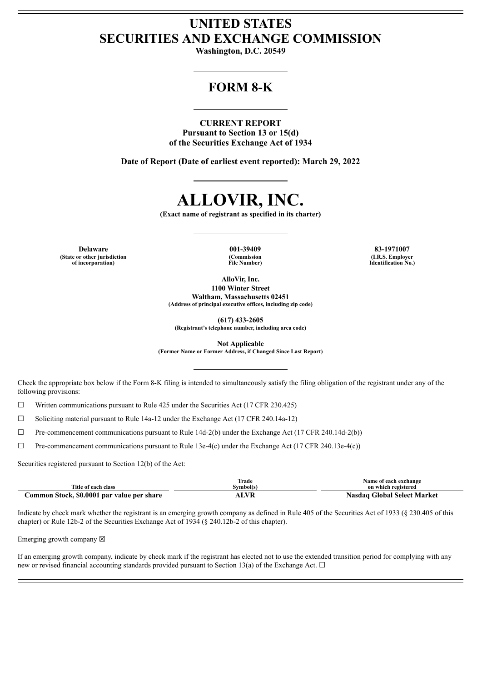# **UNITED STATES SECURITIES AND EXCHANGE COMMISSION**

**Washington, D.C. 20549**

## **FORM 8-K**

## **CURRENT REPORT**

**Pursuant to Section 13 or 15(d) of the Securities Exchange Act of 1934**

**Date of Report (Date of earliest event reported): March 29, 2022**

# **ALLOVIR, INC.**

**(Exact name of registrant as specified in its charter)**

**Delaware 001-39409 83-1971007 (State or other jurisdiction of incorporation)**

**(Commission File Number)**

**(I.R.S. Employer Identification No.)**

**AlloVir, Inc. 1100 Winter Street Waltham, Massachusetts 02451**

**(Address of principal executive offices, including zip code)**

**(617) 433-2605**

**(Registrant's telephone number, including area code)**

**Not Applicable**

**(Former Name or Former Address, if Changed Since Last Report)**

Check the appropriate box below if the Form 8-K filing is intended to simultaneously satisfy the filing obligation of the registrant under any of the following provisions:

 $\Box$  Written communications pursuant to Rule 425 under the Securities Act (17 CFR 230.425)

☐ Soliciting material pursuant to Rule 14a-12 under the Exchange Act (17 CFR 240.14a-12)

 $\Box$  Pre-commencement communications pursuant to Rule 14d-2(b) under the Exchange Act (17 CFR 240.14d-2(b))

☐ Pre-commencement communications pursuant to Rule 13e-4(c) under the Exchange Act (17 CFR 240.13e-4(c))

Securities registered pursuant to Section 12(b) of the Act:

| Title of each class                        | l`rade<br>Svmbol(s | Name of each exchange<br>on which registered |
|--------------------------------------------|--------------------|----------------------------------------------|
| Common Stock, \$0.0001 par value per share | ALVR               | Nasdag Global Select Market                  |

Indicate by check mark whether the registrant is an emerging growth company as defined in Rule 405 of the Securities Act of 1933 (§ 230.405 of this chapter) or Rule 12b-2 of the Securities Exchange Act of 1934 (§ 240.12b-2 of this chapter).

Emerging growth company  $\boxtimes$ 

If an emerging growth company, indicate by check mark if the registrant has elected not to use the extended transition period for complying with any new or revised financial accounting standards provided pursuant to Section 13(a) of the Exchange Act.  $\Box$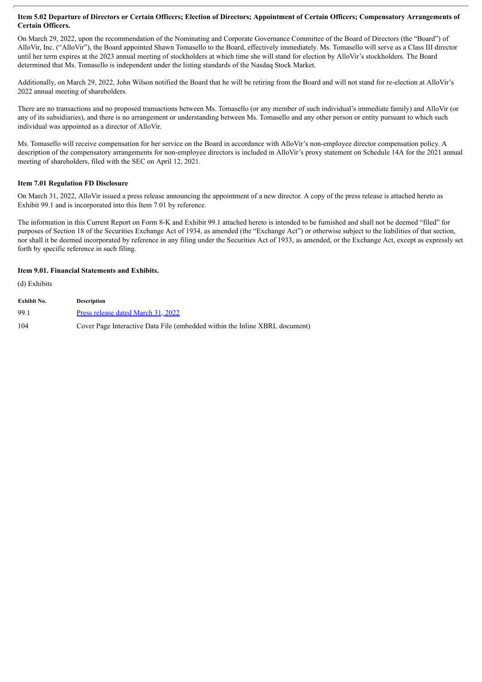## Item 5.02 Departure of Directors or Certain Officers; Election of Directors; Appointment of Certain Officers; Compensatory Arrangements of **Certain Officers.**

On March 29, 2022, upon the recommendation of the Nominating and Corporate Governance Committee of the Board of Directors (the "Board") of AlloVir, Inc. ("AlloVir"), the Board appointed Shawn Tomasello to the Board, effectively immediately. Ms. Tomasello will serve as a Class III director until her term expires at the 2023 annual meeting of stockholders at which time she will stand for election by AlloVir's stockholders. The Board determined that Ms. Tomasello is independent under the listing standards of the Nasdaq Stock Market.

Additionally, on March 29, 2022, John Wilson notified the Board that he will be retiring from the Board and will not stand for re-election at AlloVir's 2022 annual meeting of shareholders.

There are no transactions and no proposed transactions between Ms. Tomasello (or any member of such individual's immediate family) and AlloVir (or any of its subsidiaries), and there is no arrangement or understanding between Ms. Tomasello and any other person or entity pursuant to which such individual was appointed as a director of AlloVir.

Ms. Tomasello will receive compensation for her service on the Board in accordance with AlloVir's non-employee director compensation policy. A description of the compensatory arrangements for non-employee directors is included in AlloVir's proxy statement on Schedule 14A for the 2021 annual meeting of shareholders, filed with the SEC on April 12, 2021.

## **Item 7.01 Regulation FD Disclosure**

On March 31, 2022, AlloVir issued a press release announcing the appointment of a new director. A copy of the press release is attached hereto as Exhibit 99.1 and is incorporated into this Item 7.01 by reference.

The information in this Current Report on Form 8-K and Exhibit 99.1 attached hereto is intended to be furnished and shall not be deemed "filed" for purposes of Section 18 of the Securities Exchange Act of 1934, as amended (the "Exchange Act") or otherwise subject to the liabilities of that section, nor shall it be deemed incorporated by reference in any filing under the Securities Act of 1933, as amended, or the Exchange Act, except as expressly set forth by specific reference in such filing.

## **Item 9.01. Financial Statements and Exhibits.**

(d) Exhibits

| Exhibit No. | <b>Description</b>                                                          |
|-------------|-----------------------------------------------------------------------------|
| 99.1        | Press release dated March 31, 2022                                          |
| 104         | Cover Page Interactive Data File (embedded within the Inline XBRL document) |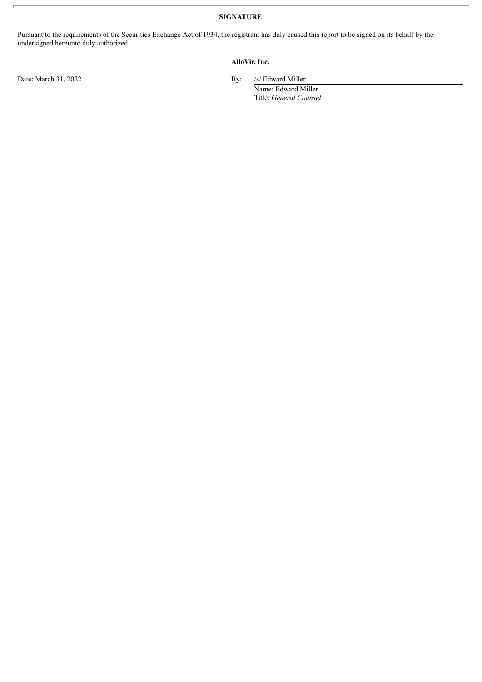**SIGNATURE**

Pursuant to the requirements of the Securities Exchange Act of 1934, the registrant has duly caused this report to be signed on its behalf by the undersigned hereunto duly authorized.

## **AlloVir, Inc.**

Date: March 31, 2022 By: /s/ Edward Miller

Name: Edward Miller Title: *General Counsel*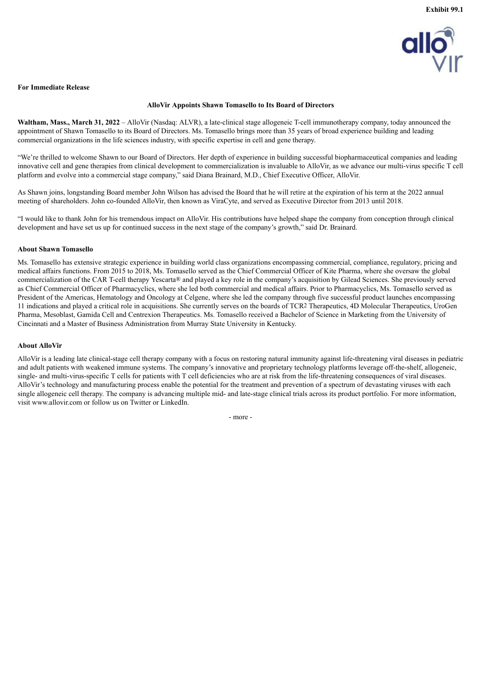

## <span id="page-3-0"></span>**For Immediate Release**

## **AlloVir Appoints Shawn Tomasello to Its Board of Directors**

**Waltham, Mass., March 31, 2022** – AlloVir (Nasdaq: ALVR), a late-clinical stage allogeneic T-cell immunotherapy company, today announced the appointment of Shawn Tomasello to its Board of Directors. Ms. Tomasello brings more than 35 years of broad experience building and leading commercial organizations in the life sciences industry, with specific expertise in cell and gene therapy.

"We're thrilled to welcome Shawn to our Board of Directors. Her depth of experience in building successful biopharmaceutical companies and leading innovative cell and gene therapies from clinical development to commercialization is invaluable to AlloVir, as we advance our multi-virus specific T cell platform and evolve into a commercial stage company," said Diana Brainard, M.D., Chief Executive Officer, AlloVir.

As Shawn joins, longstanding Board member John Wilson has advised the Board that he will retire at the expiration of his term at the 2022 annual meeting of shareholders. John co-founded AlloVir, then known as ViraCyte, and served as Executive Director from 2013 until 2018.

"I would like to thank John for his tremendous impact on AlloVir. His contributions have helped shape the company from conception through clinical development and have set us up for continued success in the next stage of the company's growth," said Dr. Brainard.

#### **About Shawn Tomasello**

Ms. Tomasello has extensive strategic experience in building world class organizations encompassing commercial, compliance, regulatory, pricing and medical affairs functions. From 2015 to 2018, Ms. Tomasello served as the Chief Commercial Officer of Kite Pharma, where she oversaw the global commercialization of the CAR T-cell therapy Yescarta® and played a key role in the company's acquisition by Gilead Sciences. She previously served as Chief Commercial Officer of Pharmacyclics, where she led both commercial and medical affairs. Prior to Pharmacyclics, Ms. Tomasello served as President of the Americas, Hematology and Oncology at Celgene, where she led the company through five successful product launches encompassing 11 indications and played a critical role in acquisitions. She currently serves on the boards of TCR2 Therapeutics, 4D Molecular Therapeutics, UroGen Pharma, Mesoblast, Gamida Cell and Centrexion Therapeutics. Ms. Tomasello received a Bachelor of Science in Marketing from the University of Cincinnati and a Master of Business Administration from Murray State University in Kentucky.

### **About AlloVir**

AlloVir is a leading late clinical-stage cell therapy company with a focus on restoring natural immunity against life-threatening viral diseases in pediatric and adult patients with weakened immune systems. The company's innovative and proprietary technology platforms leverage off-the-shelf, allogeneic, single- and multi-virus-specific T cells for patients with T cell deficiencies who are at risk from the life-threatening consequences of viral diseases. AlloVir's technology and manufacturing process enable the potential for the treatment and prevention of a spectrum of devastating viruses with each single allogeneic cell therapy. The company is advancing multiple mid- and late-stage clinical trials across its product portfolio. For more information, visit www.allovir.com or follow us on Twitter or LinkedIn.

- more -